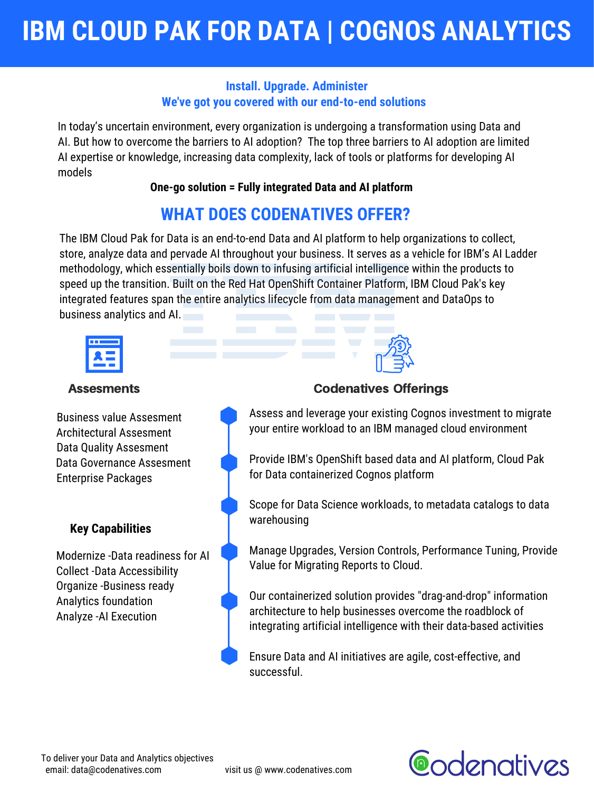In today's uncertain environment, every organization is undergoing a transformation using Data and AI. But how to overcome the barriers to AI adoption? The top three barriers to AI adoption are limited AI expertise or knowledge, increasing data complexity, lack of tools or platforms for developing AI models

**One-go solution = Fully integrated Data and AI platform**

The IBM Cloud Pak for Data is an end-to-end Data and AI platform to help organizations to collect, store, analyze data and pervade AI throughout your business. It serves as a vehicle for IBM's AI Ladder methodology, which essentially boils down to infusing artificial intelligence within the products to speed up the transition. Built on the Red Hat OpenShift Container Platform, IBM Cloud Pak's key integrated features span the entire analytics lifecycle from data management and DataOps to business analytics and AI.



Assess and leverage your existing Cognos investment to migrate your entire workload to an IBM managed cloud environment

Provide IBM's OpenShift based data and AI platform, Cloud Pak for Data containerized Cognos platform

Scope for Data Science workloads, to metadata catalogs to data warehousing

Manage Upgrades, Version Controls, Performance Tuning, Provide Value for Migrating Reports to Cloud.

Our containerized solution provides "drag-and-drop" information architecture to help businesses overcome the roadblock of integrating artificial intelligence with their data-based activities

Ensure Data and AI initiatives are agile, cost-effective, and successful.

# **IBM CLOUD PAK FOR DATA | COGNOS ANALYTICS**

### **Install. Upgrade. Administer We've got you covered with our end-to-end solutions**

# **WHAT DOES CODENATIVES OFFER?**

Business value Assesment Architectural Assesment Data Quality Assesment Data Governance Assesment Enterprise Packages

email: data@codenatives.com visit us @ www.codenatives.com To deliver your Data and Analytics objectives

**Codenatives** 

Modernize -Data readiness for AI Collect -Data Accessibility Organize -Business ready Analytics foundation Analyze -AI Execution



# Assesments **Codenatives Offerings**

# **Key Capabilities**